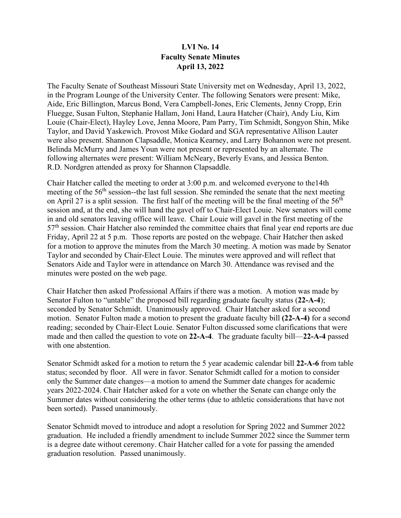## **LVI No. 14 Faculty Senate Minutes April 13, 2022**

The Faculty Senate of Southeast Missouri State University met on Wednesday, April 13, 2022, in the Program Lounge of the University Center. The following Senators were present: Mike, Aide, Eric Billington, Marcus Bond, Vera Campbell-Jones, Eric Clements, Jenny Cropp, Erin Fluegge, Susan Fulton, Stephanie Hallam, Joni Hand, Laura Hatcher (Chair), Andy Liu, Kim Louie (Chair-Elect), Hayley Love, Jenna Moore, Pam Parry, Tim Schmidt, Songyon Shin, Mike Taylor, and David Yaskewich. Provost Mike Godard and SGA representative Allison Lauter were also present. Shannon Clapsaddle, Monica Kearney, and Larry Bohannon were not present. Belinda McMurry and James Youn were not present or represented by an alternate. The following alternates were present: William McNeary, Beverly Evans, and Jessica Benton. R.D. Nordgren attended as proxy for Shannon Clapsaddle.

Chair Hatcher called the meeting to order at 3:00 p.m. and welcomed everyone to the14th meeting of the 56<sup>th</sup> session--the last full session. She reminded the senate that the next meeting on April 27 is a split session. The first half of the meeting will be the final meeting of the  $56<sup>th</sup>$ session and, at the end, she will hand the gavel off to Chair-Elect Louie. New senators will come in and old senators leaving office will leave. Chair Louie will gavel in the first meeting of the  $57<sup>th</sup>$  session. Chair Hatcher also reminded the committee chairs that final year end reports are due Friday, April 22 at 5 p.m. Those reports are posted on the webpage. Chair Hatcher then asked for a motion to approve the minutes from the March 30 meeting. A motion was made by Senator Taylor and seconded by Chair-Elect Louie. The minutes were approved and will reflect that Senators Aide and Taylor were in attendance on March 30. Attendance was revised and the minutes were posted on the web page.

Chair Hatcher then asked Professional Affairs if there was a motion. A motion was made by Senator Fulton to "untable" the proposed bill regarding graduate faculty status (**22-A-4**); seconded by Senator Schmidt. Unanimously approved. Chair Hatcher asked for a second motion. Senator Fulton made a motion to present the graduate faculty bill **(22-A-4)** for a second reading; seconded by Chair-Elect Louie. Senator Fulton discussed some clarifications that were made and then called the question to vote on **22-A-4**. The graduate faculty bill—**22-A-4** passed with one abstention.

Senator Schmidt asked for a motion to return the 5 year academic calendar bill **22-A-6** from table status; seconded by floor. All were in favor. Senator Schmidt called for a motion to consider only the Summer date changes—a motion to amend the Summer date changes for academic years 2022-2024. Chair Hatcher asked for a vote on whether the Senate can change only the Summer dates without considering the other terms (due to athletic considerations that have not been sorted). Passed unanimously.

Senator Schmidt moved to introduce and adopt a resolution for Spring 2022 and Summer 2022 graduation. He included a friendly amendment to include Summer 2022 since the Summer term is a degree date without ceremony. Chair Hatcher called for a vote for passing the amended graduation resolution. Passed unanimously.